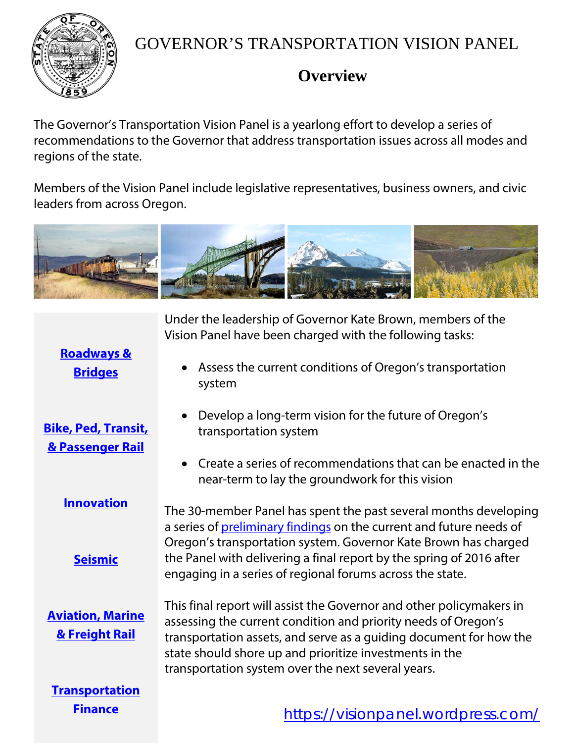

## GOVERNOR'S TRANSPORTATION VISION PANEL

## **Overview**

The Governor's Transportation Vision Panel is a yearlong effort to develop a series of recommendations to the Governor that address transportation issues across all modes and regions of the state.

Members of the Vision Panel include legislative representatives, business owners, and civic leaders from across Oregon.



transportation system

Under the leadership of Governor Kate Brown, members of the Vision Panel have been charged with the following tasks:

**[Roadways &](https://visionpanel.wordpress.com/preliminary-findings/)  [Bridges](https://visionpanel.wordpress.com/preliminary-findings/)**

• Assess the current conditions of Oregon's transportation system

• Develop a long-term vision for the future of Oregon's

- **[Bike, Ped, Transit,](https://visionpanel.wordpress.com/preliminary-findings/)  [& Passenger Rail](https://visionpanel.wordpress.com/preliminary-findings/)**
	- **[Innovation](https://visionpanel.wordpress.com/preliminary-findings/)**

**[Seismic](https://visionpanel.wordpress.com/preliminary-findings/)**

**[Aviation, Marine](https://visionpanel.wordpress.com/preliminary-findings/)  [& Freight Rail](https://visionpanel.wordpress.com/preliminary-findings/)**

• Create a series of recommendations that can be enacted in the near-term to lay the groundwork for this vision

The 30-member Panel has spent the past several months developing a series of [preliminary findings](https://visionpanel.wordpress.com/preliminary-findings/) on the current and future needs of Oregon's transportation system. Governor Kate Brown has charged the Panel with delivering a final report by the spring of 2016 after engaging in a series of regional forums across the state.

This final report will assist the Governor and other policymakers in assessing the current condition and priority needs of Oregon's transportation assets, and serve as a guiding document for how the state should shore up and prioritize investments in the transportation system over the next several years.

**[Transportation](https://visionpanel.wordpress.com/preliminary-findings/)  [Finance](https://visionpanel.wordpress.com/preliminary-findings/)**